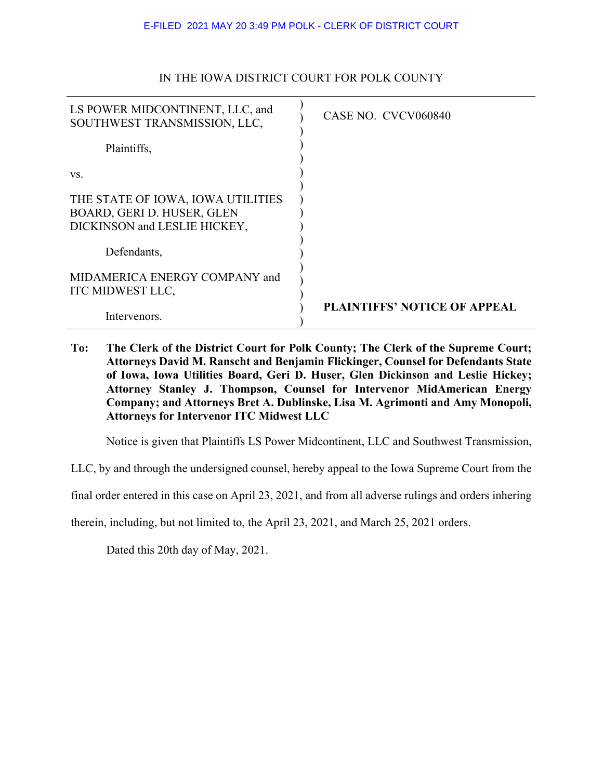| LS POWER MIDCONTINENT, LLC, and<br>SOUTHWEST TRANSMISSION, LLC, | CASE NO. CVCV060840                 |
|-----------------------------------------------------------------|-------------------------------------|
| Plaintiffs,                                                     |                                     |
| VS.                                                             |                                     |
| THE STATE OF IOWA, IOWA UTILITIES                               |                                     |
| BOARD, GERI D. HUSER, GLEN                                      |                                     |
| DICKINSON and LESLIE HICKEY,                                    |                                     |
|                                                                 |                                     |
| Defendants,                                                     |                                     |
| MIDAMERICA ENERGY COMPANY and<br>ITC MIDWEST LLC,               |                                     |
| Intervenors.                                                    | <b>PLAINTIFFS' NOTICE OF APPEAL</b> |

## IN THE IOWA DISTRICT COURT FOR POLK COUNTY

**To: The Clerk of the District Court for Polk County; The Clerk of the Supreme Court; Attorneys David M. Ranscht and Benjamin Flickinger, Counsel for Defendants State of Iowa, Iowa Utilities Board, Geri D. Huser, Glen Dickinson and Leslie Hickey; Attorney Stanley J. Thompson, Counsel for Intervenor MidAmerican Energy Company; and Attorneys Bret A. Dublinske, Lisa M. Agrimonti and Amy Monopoli, Attorneys for Intervenor ITC Midwest LLC** 

Notice is given that Plaintiffs LS Power Midcontinent, LLC and Southwest Transmission,

LLC, by and through the undersigned counsel, hereby appeal to the Iowa Supreme Court from the

final order entered in this case on April 23, 2021, and from all adverse rulings and orders inhering

therein, including, but not limited to, the April 23, 2021, and March 25, 2021 orders.

Dated this 20th day of May, 2021.